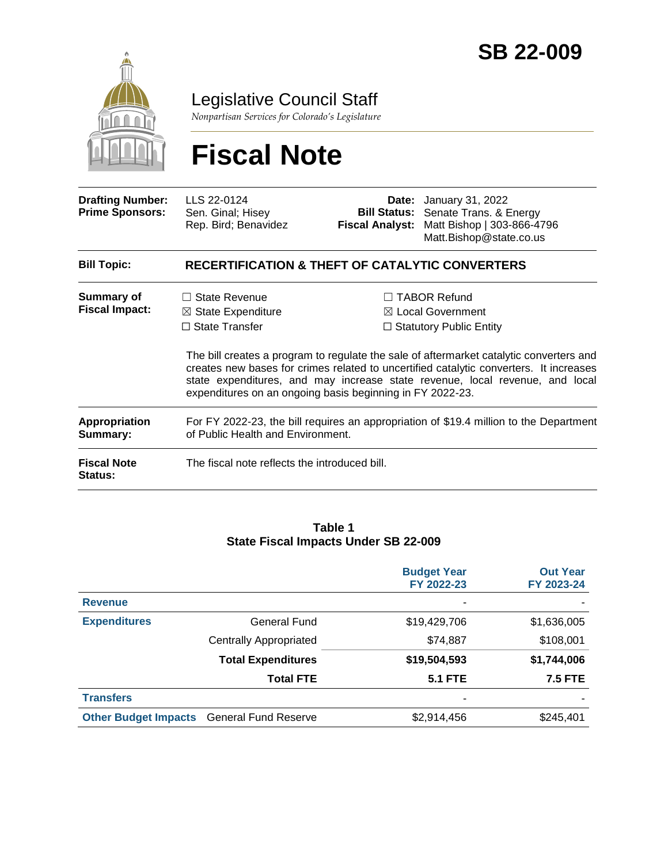

Legislative Council Staff

*Nonpartisan Services for Colorado's Legislature*

# **Fiscal Note**

| <b>Drafting Number:</b><br><b>Prime Sponsors:</b> | LLS 22-0124<br>Sen. Ginal; Hisey<br>Rep. Bird; Benavidez                                                                                                                                                                                                                                                                       | <b>Fiscal Analyst:</b> | <b>Date:</b> January 31, 2022<br><b>Bill Status:</b> Senate Trans. & Energy<br>Matt Bishop   303-866-4796<br>Matt.Bishop@state.co.us |  |  |  |
|---------------------------------------------------|--------------------------------------------------------------------------------------------------------------------------------------------------------------------------------------------------------------------------------------------------------------------------------------------------------------------------------|------------------------|--------------------------------------------------------------------------------------------------------------------------------------|--|--|--|
| <b>Bill Topic:</b>                                | <b>RECERTIFICATION &amp; THEFT OF CATALYTIC CONVERTERS</b>                                                                                                                                                                                                                                                                     |                        |                                                                                                                                      |  |  |  |
| Summary of<br><b>Fiscal Impact:</b>               | $\Box$ State Revenue<br>$\boxtimes$ State Expenditure<br>$\Box$ State Transfer                                                                                                                                                                                                                                                 |                        | $\Box$ TABOR Refund<br>$\boxtimes$ Local Government<br>$\Box$ Statutory Public Entity                                                |  |  |  |
|                                                   | The bill creates a program to regulate the sale of aftermarket catalytic converters and<br>creates new bases for crimes related to uncertified catalytic converters. It increases<br>state expenditures, and may increase state revenue, local revenue, and local<br>expenditures on an ongoing basis beginning in FY 2022-23. |                        |                                                                                                                                      |  |  |  |
| <b>Appropriation</b><br>Summary:                  | For FY 2022-23, the bill requires an appropriation of \$19.4 million to the Department<br>of Public Health and Environment.                                                                                                                                                                                                    |                        |                                                                                                                                      |  |  |  |
| <b>Fiscal Note</b><br><b>Status:</b>              | The fiscal note reflects the introduced bill.                                                                                                                                                                                                                                                                                  |                        |                                                                                                                                      |  |  |  |

#### **Table 1 State Fiscal Impacts Under SB 22-009**

|                             |                               | <b>Budget Year</b><br>FY 2022-23 | <b>Out Year</b><br>FY 2023-24 |
|-----------------------------|-------------------------------|----------------------------------|-------------------------------|
| <b>Revenue</b>              |                               | ۰                                |                               |
| <b>Expenditures</b>         | General Fund                  | \$19,429,706                     | \$1,636,005                   |
|                             | <b>Centrally Appropriated</b> | \$74,887                         | \$108,001                     |
|                             | <b>Total Expenditures</b>     | \$19,504,593                     | \$1,744,006                   |
|                             | <b>Total FTE</b>              | <b>5.1 FTE</b>                   | <b>7.5 FTE</b>                |
| <b>Transfers</b>            |                               | ۰                                |                               |
| <b>Other Budget Impacts</b> | <b>General Fund Reserve</b>   | \$2,914,456                      | \$245,401                     |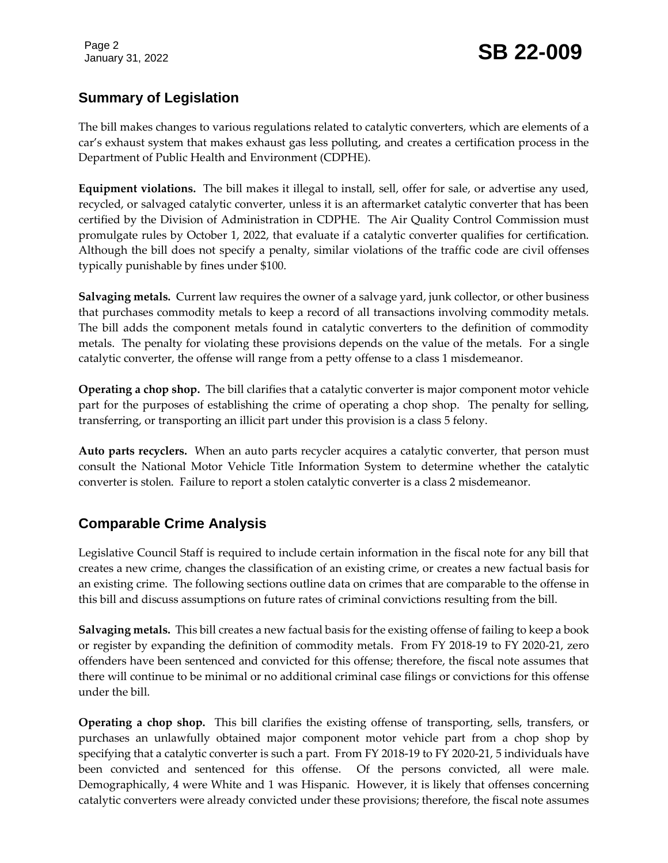# January 31, 2022 **SB 22-009**

# **Summary of Legislation**

The bill makes changes to various regulations related to catalytic converters, which are elements of a car's exhaust system that makes exhaust gas less polluting, and creates a certification process in the Department of Public Health and Environment (CDPHE).

**Equipment violations.** The bill makes it illegal to install, sell, offer for sale, or advertise any used, recycled, or salvaged catalytic converter, unless it is an aftermarket catalytic converter that has been certified by the Division of Administration in CDPHE. The Air Quality Control Commission must promulgate rules by October 1, 2022, that evaluate if a catalytic converter qualifies for certification. Although the bill does not specify a penalty, similar violations of the traffic code are civil offenses typically punishable by fines under \$100.

**Salvaging metals.** Current law requires the owner of a salvage yard, junk collector, or other business that purchases commodity metals to keep a record of all transactions involving commodity metals. The bill adds the component metals found in catalytic converters to the definition of commodity metals. The penalty for violating these provisions depends on the value of the metals. For a single catalytic converter, the offense will range from a petty offense to a class 1 misdemeanor.

**Operating a chop shop.** The bill clarifies that a catalytic converter is major component motor vehicle part for the purposes of establishing the crime of operating a chop shop. The penalty for selling, transferring, or transporting an illicit part under this provision is a class 5 felony.

**Auto parts recyclers.** When an auto parts recycler acquires a catalytic converter, that person must consult the National Motor Vehicle Title Information System to determine whether the catalytic converter is stolen. Failure to report a stolen catalytic converter is a class 2 misdemeanor.

# **Comparable Crime Analysis**

Legislative Council Staff is required to include certain information in the fiscal note for any bill that creates a new crime, changes the classification of an existing crime, or creates a new factual basis for an existing crime. The following sections outline data on crimes that are comparable to the offense in this bill and discuss assumptions on future rates of criminal convictions resulting from the bill.

**Salvaging metals.** This bill creates a new factual basis for the existing offense of failing to keep a book or register by expanding the definition of commodity metals. From FY 2018-19 to FY 2020-21, zero offenders have been sentenced and convicted for this offense; therefore, the fiscal note assumes that there will continue to be minimal or no additional criminal case filings or convictions for this offense under the bill.

**Operating a chop shop.** This bill clarifies the existing offense of transporting, sells, transfers, or purchases an unlawfully obtained major component motor vehicle part from a chop shop by specifying that a catalytic converter is such a part. From FY 2018-19 to FY 2020-21, 5 individuals have been convicted and sentenced for this offense. Of the persons convicted, all were male. Demographically, 4 were White and 1 was Hispanic. However, it is likely that offenses concerning catalytic converters were already convicted under these provisions; therefore, the fiscal note assumes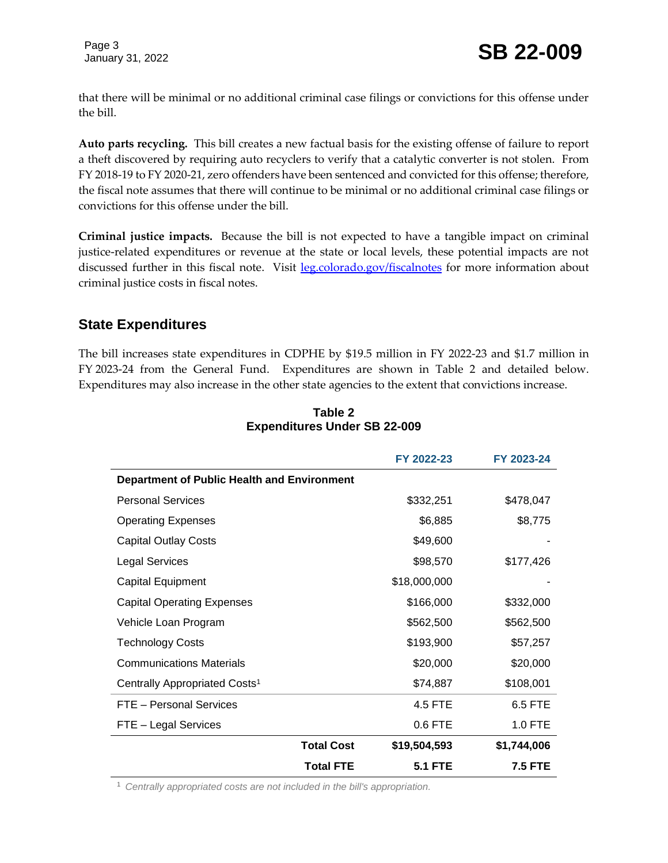that there will be minimal or no additional criminal case filings or convictions for this offense under the bill.

**Auto parts recycling.** This bill creates a new factual basis for the existing offense of failure to report a theft discovered by requiring auto recyclers to verify that a catalytic converter is not stolen. From FY 2018-19 to FY 2020-21, zero offenders have been sentenced and convicted for this offense; therefore, the fiscal note assumes that there will continue to be minimal or no additional criminal case filings or convictions for this offense under the bill.

**Criminal justice impacts.** Because the bill is not expected to have a tangible impact on criminal justice-related expenditures or revenue at the state or local levels, these potential impacts are not discussed further in this fiscal note. Visit [leg.colorado.gov/fiscalnotes](http://leg.colorado.gov/fiscalnotes/) for more information about criminal justice costs in fiscal notes.

### **State Expenditures**

The bill increases state expenditures in CDPHE by \$19.5 million in FY 2022-23 and \$1.7 million in FY 2023-24 from the General Fund. Expenditures are shown in Table 2 and detailed below. Expenditures may also increase in the other state agencies to the extent that convictions increase.

|                                                    |                   | FY 2022-23     | FY 2023-24  |
|----------------------------------------------------|-------------------|----------------|-------------|
| <b>Department of Public Health and Environment</b> |                   |                |             |
| <b>Personal Services</b>                           |                   | \$332,251      | \$478,047   |
| <b>Operating Expenses</b>                          |                   | \$6,885        | \$8,775     |
| <b>Capital Outlay Costs</b>                        |                   | \$49,600       |             |
| <b>Legal Services</b>                              |                   | \$98,570       | \$177,426   |
| <b>Capital Equipment</b>                           |                   | \$18,000,000   |             |
| <b>Capital Operating Expenses</b>                  |                   | \$166,000      | \$332,000   |
| Vehicle Loan Program                               |                   | \$562,500      | \$562,500   |
| <b>Technology Costs</b>                            |                   | \$193,900      | \$57,257    |
| <b>Communications Materials</b>                    |                   | \$20,000       | \$20,000    |
| Centrally Appropriated Costs <sup>1</sup>          |                   | \$74,887       | \$108,001   |
| FTE - Personal Services                            |                   | 4.5 FTE        | 6.5 FTE     |
| FTE - Legal Services                               |                   | 0.6 FTE        | 1.0 FTE     |
|                                                    | <b>Total Cost</b> | \$19,504,593   | \$1,744,006 |
|                                                    | <b>Total FTE</b>  | <b>5.1 FTE</b> | 7.5 FTE     |

#### **Table 2 Expenditures Under SB 22-009**

<sup>1</sup> *Centrally appropriated costs are not included in the bill's appropriation.*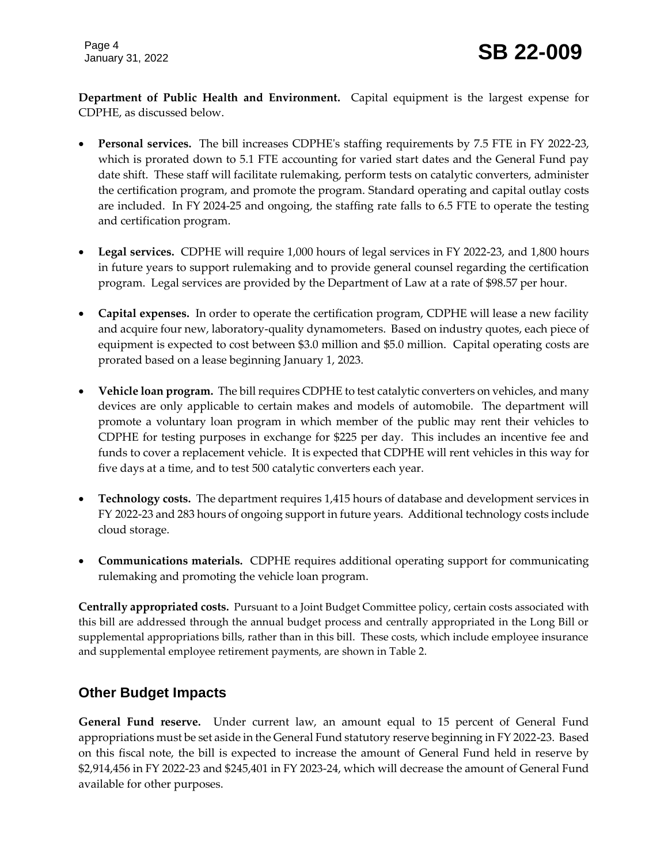**Department of Public Health and Environment.** Capital equipment is the largest expense for CDPHE, as discussed below.

- **Personal services.** The bill increases CDPHE's staffing requirements by 7.5 FTE in FY 2022-23, which is prorated down to 5.1 FTE accounting for varied start dates and the General Fund pay date shift. These staff will facilitate rulemaking, perform tests on catalytic converters, administer the certification program, and promote the program. Standard operating and capital outlay costs are included. In FY 2024-25 and ongoing, the staffing rate falls to 6.5 FTE to operate the testing and certification program.
- **Legal services.** CDPHE will require 1,000 hours of legal services in FY 2022-23, and 1,800 hours in future years to support rulemaking and to provide general counsel regarding the certification program. Legal services are provided by the Department of Law at a rate of \$98.57 per hour.
- **Capital expenses.** In order to operate the certification program, CDPHE will lease a new facility and acquire four new, laboratory-quality dynamometers. Based on industry quotes, each piece of equipment is expected to cost between \$3.0 million and \$5.0 million. Capital operating costs are prorated based on a lease beginning January 1, 2023.
- **Vehicle loan program.** The bill requires CDPHE to test catalytic converters on vehicles, and many devices are only applicable to certain makes and models of automobile. The department will promote a voluntary loan program in which member of the public may rent their vehicles to CDPHE for testing purposes in exchange for \$225 per day. This includes an incentive fee and funds to cover a replacement vehicle. It is expected that CDPHE will rent vehicles in this way for five days at a time, and to test 500 catalytic converters each year.
- **Technology costs.** The department requires 1,415 hours of database and development services in FY 2022-23 and 283 hours of ongoing support in future years. Additional technology costs include cloud storage.
- **Communications materials.** CDPHE requires additional operating support for communicating rulemaking and promoting the vehicle loan program.

**Centrally appropriated costs.** Pursuant to a Joint Budget Committee policy, certain costs associated with this bill are addressed through the annual budget process and centrally appropriated in the Long Bill or supplemental appropriations bills, rather than in this bill. These costs, which include employee insurance and supplemental employee retirement payments, are shown in Table 2.

# **Other Budget Impacts**

**General Fund reserve.** Under current law, an amount equal to 15 percent of General Fund appropriations must be set aside in the General Fund statutory reserve beginning in FY 2022-23. Based on this fiscal note, the bill is expected to increase the amount of General Fund held in reserve by \$2,914,456 in FY 2022-23 and \$245,401 in FY 2023-24, which will decrease the amount of General Fund available for other purposes.